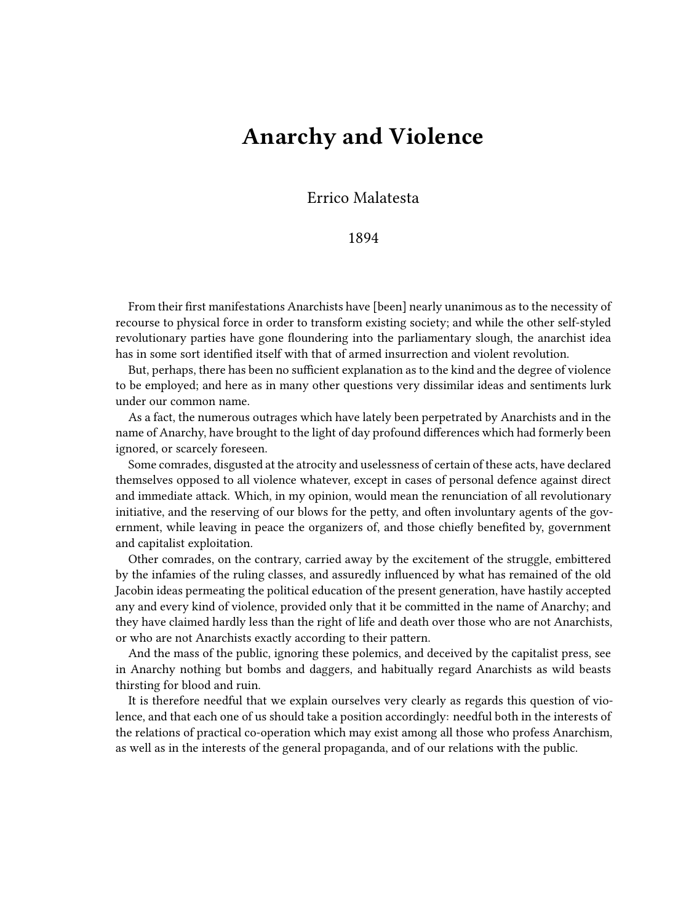## **Anarchy and Violence**

Errico Malatesta

1894

From their first manifestations Anarchists have [been] nearly unanimous as to the necessity of recourse to physical force in order to transform existing society; and while the other self-styled revolutionary parties have gone floundering into the parliamentary slough, the anarchist idea has in some sort identified itself with that of armed insurrection and violent revolution.

But, perhaps, there has been no sufficient explanation as to the kind and the degree of violence to be employed; and here as in many other questions very dissimilar ideas and sentiments lurk under our common name.

As a fact, the numerous outrages which have lately been perpetrated by Anarchists and in the name of Anarchy, have brought to the light of day profound differences which had formerly been ignored, or scarcely foreseen.

Some comrades, disgusted at the atrocity and uselessness of certain of these acts, have declared themselves opposed to all violence whatever, except in cases of personal defence against direct and immediate attack. Which, in my opinion, would mean the renunciation of all revolutionary initiative, and the reserving of our blows for the petty, and often involuntary agents of the government, while leaving in peace the organizers of, and those chiefly benefited by, government and capitalist exploitation.

Other comrades, on the contrary, carried away by the excitement of the struggle, embittered by the infamies of the ruling classes, and assuredly influenced by what has remained of the old Jacobin ideas permeating the political education of the present generation, have hastily accepted any and every kind of violence, provided only that it be committed in the name of Anarchy; and they have claimed hardly less than the right of life and death over those who are not Anarchists, or who are not Anarchists exactly according to their pattern.

And the mass of the public, ignoring these polemics, and deceived by the capitalist press, see in Anarchy nothing but bombs and daggers, and habitually regard Anarchists as wild beasts thirsting for blood and ruin.

It is therefore needful that we explain ourselves very clearly as regards this question of violence, and that each one of us should take a position accordingly: needful both in the interests of the relations of practical co-operation which may exist among all those who profess Anarchism, as well as in the interests of the general propaganda, and of our relations with the public.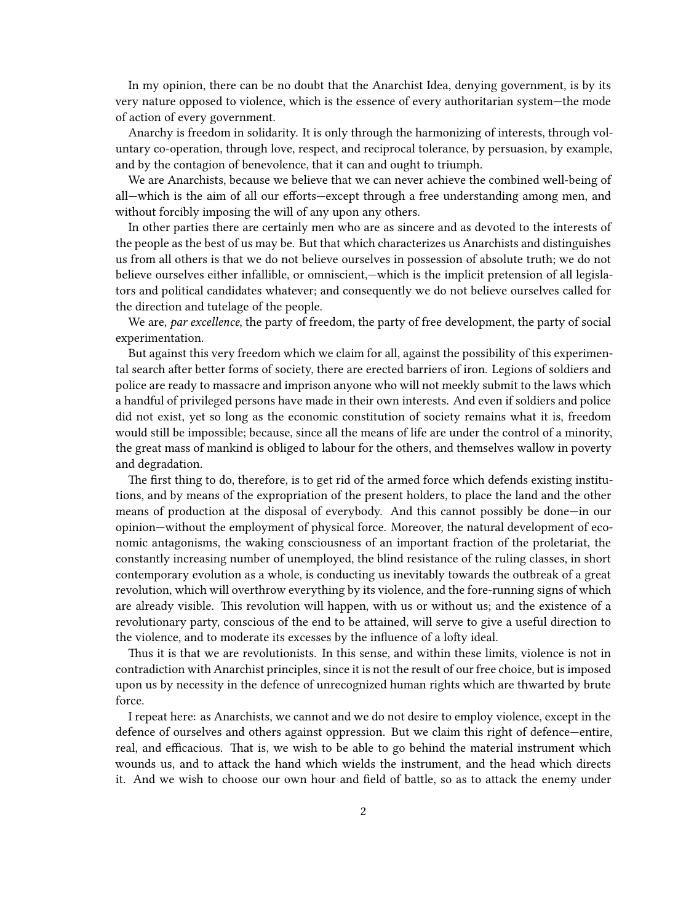In my opinion, there can be no doubt that the Anarchist Idea, denying government, is by its very nature opposed to violence, which is the essence of every authoritarian system—the mode of action of every government.

Anarchy is freedom in solidarity. It is only through the harmonizing of interests, through voluntary co-operation, through love, respect, and reciprocal tolerance, by persuasion, by example, and by the contagion of benevolence, that it can and ought to triumph.

We are Anarchists, because we believe that we can never achieve the combined well-being of all—which is the aim of all our efforts—except through a free understanding among men, and without forcibly imposing the will of any upon any others.

In other parties there are certainly men who are as sincere and as devoted to the interests of the people as the best of us may be. But that which characterizes us Anarchists and distinguishes us from all others is that we do not believe ourselves in possession of absolute truth; we do not believe ourselves either infallible, or omniscient,—which is the implicit pretension of all legislators and political candidates whatever; and consequently we do not believe ourselves called for the direction and tutelage of the people.

We are, *par excellence*, the party of freedom, the party of free development, the party of social experimentation.

But against this very freedom which we claim for all, against the possibility of this experimental search after better forms of society, there are erected barriers of iron. Legions of soldiers and police are ready to massacre and imprison anyone who will not meekly submit to the laws which a handful of privileged persons have made in their own interests. And even if soldiers and police did not exist, yet so long as the economic constitution of society remains what it is, freedom would still be impossible; because, since all the means of life are under the control of a minority, the great mass of mankind is obliged to labour for the others, and themselves wallow in poverty and degradation.

The first thing to do, therefore, is to get rid of the armed force which defends existing institutions, and by means of the expropriation of the present holders, to place the land and the other means of production at the disposal of everybody. And this cannot possibly be done—in our opinion—without the employment of physical force. Moreover, the natural development of economic antagonisms, the waking consciousness of an important fraction of the proletariat, the constantly increasing number of unemployed, the blind resistance of the ruling classes, in short contemporary evolution as a whole, is conducting us inevitably towards the outbreak of a great revolution, which will overthrow everything by its violence, and the fore-running signs of which are already visible. This revolution will happen, with us or without us; and the existence of a revolutionary party, conscious of the end to be attained, will serve to give a useful direction to the violence, and to moderate its excesses by the influence of a lofty ideal.

Thus it is that we are revolutionists. In this sense, and within these limits, violence is not in contradiction with Anarchist principles, since it is not the result of our free choice, but is imposed upon us by necessity in the defence of unrecognized human rights which are thwarted by brute force.

I repeat here: as Anarchists, we cannot and we do not desire to employ violence, except in the defence of ourselves and others against oppression. But we claim this right of defence—entire, real, and efficacious. That is, we wish to be able to go behind the material instrument which wounds us, and to attack the hand which wields the instrument, and the head which directs it. And we wish to choose our own hour and field of battle, so as to attack the enemy under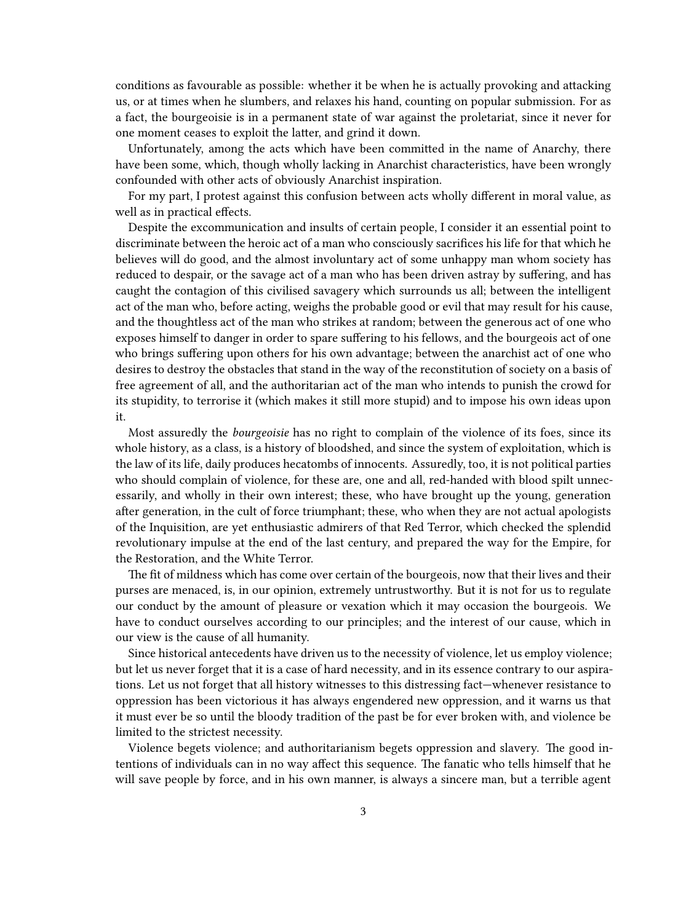conditions as favourable as possible: whether it be when he is actually provoking and attacking us, or at times when he slumbers, and relaxes his hand, counting on popular submission. For as a fact, the bourgeoisie is in a permanent state of war against the proletariat, since it never for one moment ceases to exploit the latter, and grind it down.

Unfortunately, among the acts which have been committed in the name of Anarchy, there have been some, which, though wholly lacking in Anarchist characteristics, have been wrongly confounded with other acts of obviously Anarchist inspiration.

For my part, I protest against this confusion between acts wholly different in moral value, as well as in practical effects.

Despite the excommunication and insults of certain people, I consider it an essential point to discriminate between the heroic act of a man who consciously sacrifices his life for that which he believes will do good, and the almost involuntary act of some unhappy man whom society has reduced to despair, or the savage act of a man who has been driven astray by suffering, and has caught the contagion of this civilised savagery which surrounds us all; between the intelligent act of the man who, before acting, weighs the probable good or evil that may result for his cause, and the thoughtless act of the man who strikes at random; between the generous act of one who exposes himself to danger in order to spare suffering to his fellows, and the bourgeois act of one who brings suffering upon others for his own advantage; between the anarchist act of one who desires to destroy the obstacles that stand in the way of the reconstitution of society on a basis of free agreement of all, and the authoritarian act of the man who intends to punish the crowd for its stupidity, to terrorise it (which makes it still more stupid) and to impose his own ideas upon it.

Most assuredly the *bourgeoisie* has no right to complain of the violence of its foes, since its whole history, as a class, is a history of bloodshed, and since the system of exploitation, which is the law of its life, daily produces hecatombs of innocents. Assuredly, too, it is not political parties who should complain of violence, for these are, one and all, red-handed with blood spilt unnecessarily, and wholly in their own interest; these, who have brought up the young, generation after generation, in the cult of force triumphant; these, who when they are not actual apologists of the Inquisition, are yet enthusiastic admirers of that Red Terror, which checked the splendid revolutionary impulse at the end of the last century, and prepared the way for the Empire, for the Restoration, and the White Terror.

The fit of mildness which has come over certain of the bourgeois, now that their lives and their purses are menaced, is, in our opinion, extremely untrustworthy. But it is not for us to regulate our conduct by the amount of pleasure or vexation which it may occasion the bourgeois. We have to conduct ourselves according to our principles; and the interest of our cause, which in our view is the cause of all humanity.

Since historical antecedents have driven us to the necessity of violence, let us employ violence; but let us never forget that it is a case of hard necessity, and in its essence contrary to our aspirations. Let us not forget that all history witnesses to this distressing fact—whenever resistance to oppression has been victorious it has always engendered new oppression, and it warns us that it must ever be so until the bloody tradition of the past be for ever broken with, and violence be limited to the strictest necessity.

Violence begets violence; and authoritarianism begets oppression and slavery. The good intentions of individuals can in no way affect this sequence. The fanatic who tells himself that he will save people by force, and in his own manner, is always a sincere man, but a terrible agent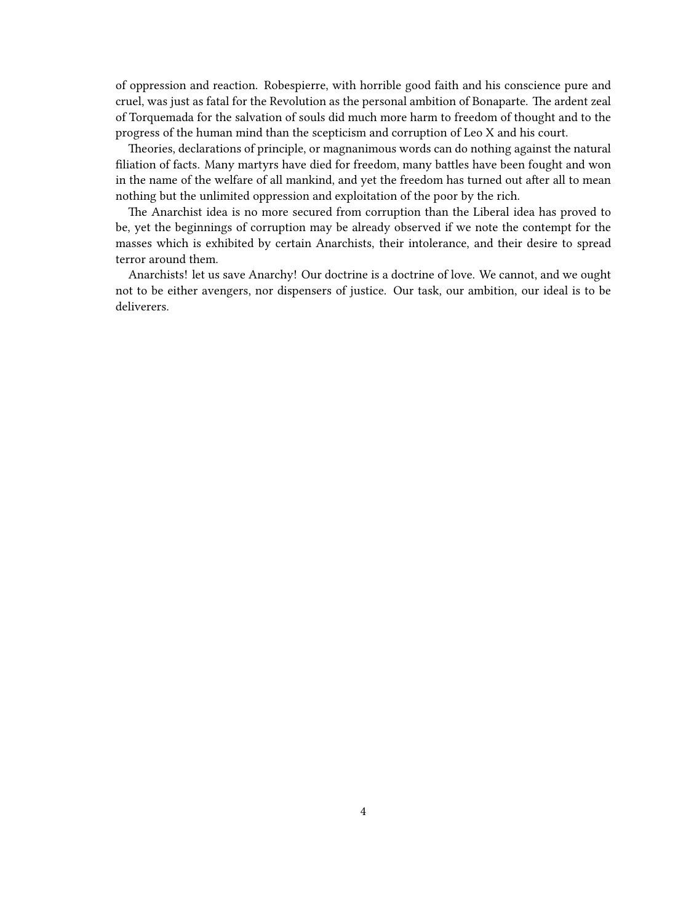of oppression and reaction. Robespierre, with horrible good faith and his conscience pure and cruel, was just as fatal for the Revolution as the personal ambition of Bonaparte. The ardent zeal of Torquemada for the salvation of souls did much more harm to freedom of thought and to the progress of the human mind than the scepticism and corruption of Leo X and his court.

Theories, declarations of principle, or magnanimous words can do nothing against the natural filiation of facts. Many martyrs have died for freedom, many battles have been fought and won in the name of the welfare of all mankind, and yet the freedom has turned out after all to mean nothing but the unlimited oppression and exploitation of the poor by the rich.

The Anarchist idea is no more secured from corruption than the Liberal idea has proved to be, yet the beginnings of corruption may be already observed if we note the contempt for the masses which is exhibited by certain Anarchists, their intolerance, and their desire to spread terror around them.

Anarchists! let us save Anarchy! Our doctrine is a doctrine of love. We cannot, and we ought not to be either avengers, nor dispensers of justice. Our task, our ambition, our ideal is to be deliverers.